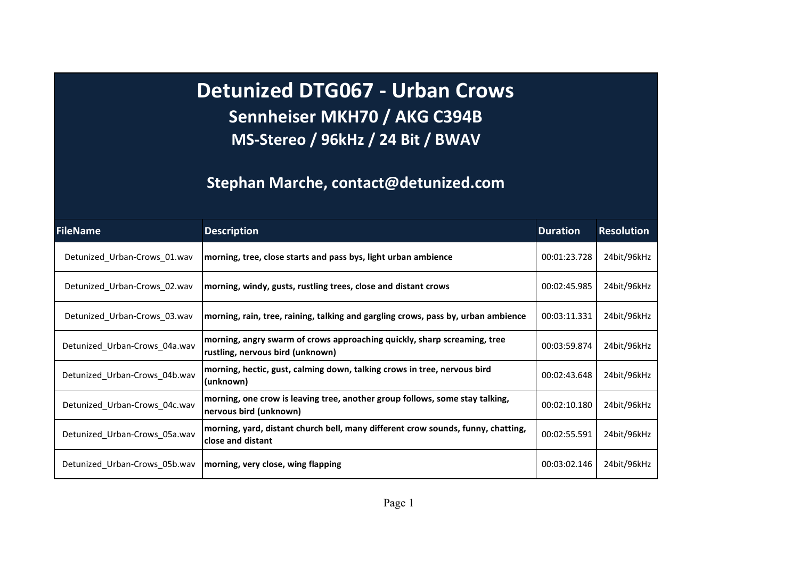Detunized DTG067 - Urban Crows Sennheiser MKH70 / AKG C394B MS-Stereo / 96kHz / 24 Bit / BWAV

## Stephan Marche, contact@detunized.com

| <b>FileName</b>               | <b>Description</b>                                                                                           | <b>Duration</b> | <b>Resolution</b> |
|-------------------------------|--------------------------------------------------------------------------------------------------------------|-----------------|-------------------|
| Detunized Urban-Crows 01.wav  | morning, tree, close starts and pass bys, light urban ambience                                               | 00:01:23.728    | 24bit/96kHz       |
| Detunized_Urban-Crows_02.wav  | morning, windy, gusts, rustling trees, close and distant crows                                               | 00:02:45.985    | 24bit/96kHz       |
| Detunized_Urban-Crows_03.wav  | morning, rain, tree, raining, talking and gargling crows, pass by, urban ambience                            | 00:03:11.331    | 24bit/96kHz       |
| Detunized_Urban-Crows_04a.wav | morning, angry swarm of crows approaching quickly, sharp screaming, tree<br>rustling, nervous bird (unknown) | 00:03:59.874    | 24bit/96kHz       |
| Detunized_Urban-Crows_04b.wav | morning, hectic, gust, calming down, talking crows in tree, nervous bird<br>(unknown)                        | 00:02:43.648    | 24bit/96kHz       |
| Detunized_Urban-Crows_04c.wav | morning, one crow is leaving tree, another group follows, some stay talking,<br>nervous bird (unknown)       | 00:02:10.180    | 24bit/96kHz       |
| Detunized_Urban-Crows_05a.wav | morning, yard, distant church bell, many different crow sounds, funny, chatting,<br>close and distant        | 00:02:55.591    | 24bit/96kHz       |
| Detunized_Urban-Crows_05b.wav | morning, very close, wing flapping                                                                           | 00:03:02.146    | 24bit/96kHz       |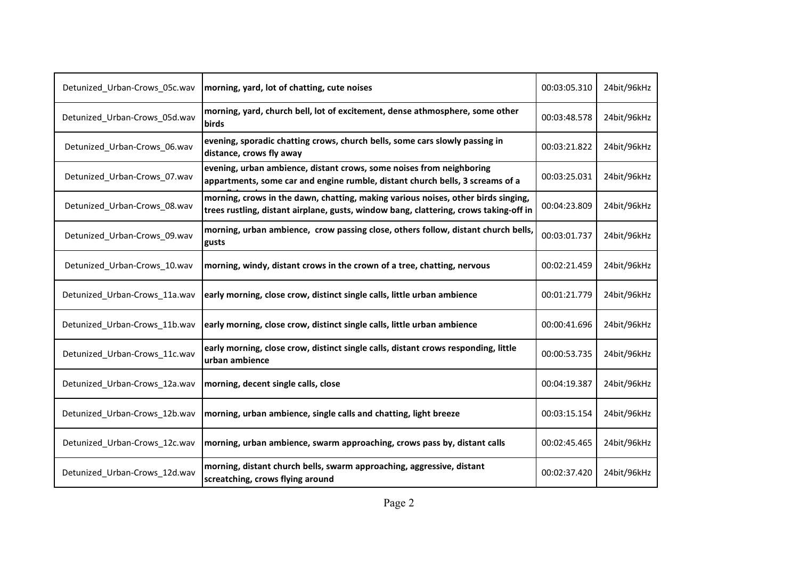| Detunized_Urban-Crows_05c.wav | morning, yard, lot of chatting, cute noises                                                                                                                                | 00:03:05.310 | 24bit/96kHz |
|-------------------------------|----------------------------------------------------------------------------------------------------------------------------------------------------------------------------|--------------|-------------|
| Detunized_Urban-Crows_05d.wav | morning, yard, church bell, lot of excitement, dense athmosphere, some other<br>birds                                                                                      | 00:03:48.578 | 24bit/96kHz |
| Detunized Urban-Crows 06.wav  | evening, sporadic chatting crows, church bells, some cars slowly passing in<br>distance, crows fly away                                                                    | 00:03:21.822 | 24bit/96kHz |
| Detunized_Urban-Crows_07.wav  | evening, urban ambience, distant crows, some noises from neighboring<br>appartments, some car and engine rumble, distant church bells, 3 screams of a                      | 00:03:25.031 | 24bit/96kHz |
| Detunized_Urban-Crows_08.wav  | morning, crows in the dawn, chatting, making various noises, other birds singing,<br>trees rustling, distant airplane, gusts, window bang, clattering, crows taking-off in | 00:04:23.809 | 24bit/96kHz |
| Detunized Urban-Crows 09.wav  | morning, urban ambience, crow passing close, others follow, distant church bells,<br>gusts                                                                                 | 00:03:01.737 | 24bit/96kHz |
| Detunized_Urban-Crows_10.wav  | morning, windy, distant crows in the crown of a tree, chatting, nervous                                                                                                    | 00:02:21.459 | 24bit/96kHz |
| Detunized_Urban-Crows_11a.wav | early morning, close crow, distinct single calls, little urban ambience                                                                                                    | 00:01:21.779 | 24bit/96kHz |
| Detunized Urban-Crows 11b.wav | early morning, close crow, distinct single calls, little urban ambience                                                                                                    | 00:00:41.696 | 24bit/96kHz |
| Detunized_Urban-Crows_11c.wav | early morning, close crow, distinct single calls, distant crows responding, little<br>urban ambience                                                                       | 00:00:53.735 | 24bit/96kHz |
| Detunized_Urban-Crows_12a.wav | morning, decent single calls, close                                                                                                                                        | 00:04:19.387 | 24bit/96kHz |
| Detunized Urban-Crows 12b.wav | morning, urban ambience, single calls and chatting, light breeze                                                                                                           | 00:03:15.154 | 24bit/96kHz |
| Detunized_Urban-Crows_12c.wav | morning, urban ambience, swarm approaching, crows pass by, distant calls                                                                                                   | 00:02:45.465 | 24bit/96kHz |
| Detunized_Urban-Crows_12d.wav | morning, distant church bells, swarm approaching, aggressive, distant<br>screatching, crows flying around                                                                  | 00:02:37.420 | 24bit/96kHz |